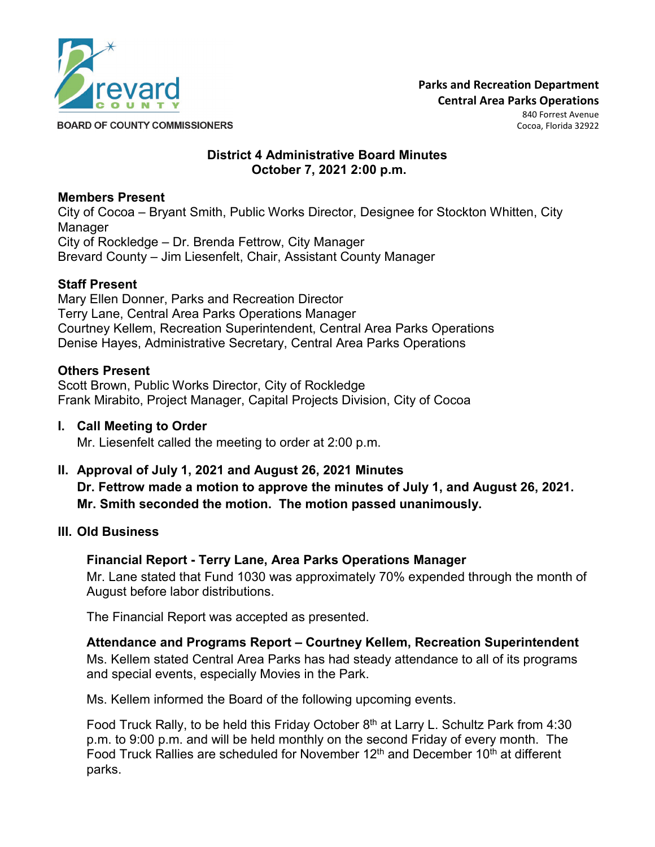

Cocoa, Florida 32922

**BOARD OF COUNTY COMMISSIONERS** 

### **District 4 Administrative Board Minutes October 7, 2021 2:00 p.m.**

## **Members Present**

City of Cocoa – Bryant Smith, Public Works Director, Designee for Stockton Whitten, City Manager City of Rockledge – Dr. Brenda Fettrow, City Manager Brevard County – Jim Liesenfelt, Chair, Assistant County Manager

### **Staff Present**

Mary Ellen Donner, Parks and Recreation Director Terry Lane, Central Area Parks Operations Manager Courtney Kellem, Recreation Superintendent, Central Area Parks Operations Denise Hayes, Administrative Secretary, Central Area Parks Operations

### **Others Present**

Scott Brown, Public Works Director, City of Rockledge Frank Mirabito, Project Manager, Capital Projects Division, City of Cocoa

#### **I. Call Meeting to Order**

Mr. Liesenfelt called the meeting to order at 2:00 p.m.

**II. Approval of July 1, 2021 and August 26, 2021 Minutes Dr. Fettrow made a motion to approve the minutes of July 1, and August 26, 2021. Mr. Smith seconded the motion. The motion passed unanimously.**

## **III. Old Business**

## **Financial Report - Terry Lane, Area Parks Operations Manager**

Mr. Lane stated that Fund 1030 was approximately 70% expended through the month of August before labor distributions.

The Financial Report was accepted as presented.

## **Attendance and Programs Report – Courtney Kellem, Recreation Superintendent**

Ms. Kellem stated Central Area Parks has had steady attendance to all of its programs and special events, especially Movies in the Park.

Ms. Kellem informed the Board of the following upcoming events.

Food Truck Rally, to be held this Friday October  $8<sup>th</sup>$  at Larry L. Schultz Park from 4:30 p.m. to 9:00 p.m. and will be held monthly on the second Friday of every month. The Food Truck Rallies are scheduled for November 12<sup>th</sup> and December 10<sup>th</sup> at different parks.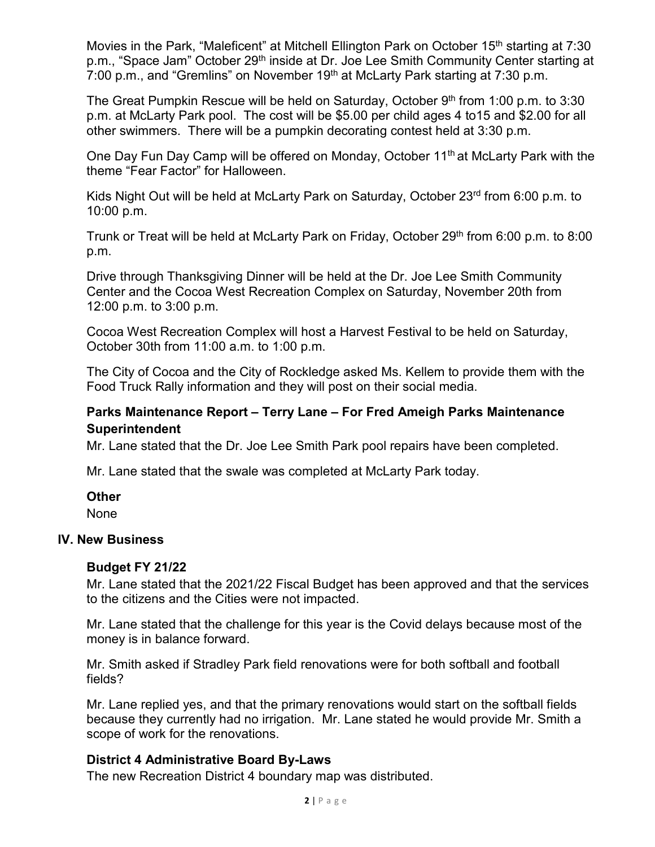Movies in the Park, "Maleficent" at Mitchell Ellington Park on October 15<sup>th</sup> starting at 7:30 p.m., "Space Jam" October 29<sup>th</sup> inside at Dr. Joe Lee Smith Community Center starting at 7:00 p.m., and "Gremlins" on November 19<sup>th</sup> at McLarty Park starting at 7:30 p.m.

The Great Pumpkin Rescue will be held on Saturday, October  $9<sup>th</sup>$  from 1:00 p.m. to 3:30 p.m. at McLarty Park pool. The cost will be \$5.00 per child ages 4 to15 and \$2.00 for all other swimmers. There will be a pumpkin decorating contest held at 3:30 p.m.

One Day Fun Day Camp will be offered on Monday, October 11<sup>th</sup> at McLarty Park with the theme "Fear Factor" for Halloween.

Kids Night Out will be held at McLarty Park on Saturday, October 23rd from 6:00 p.m. to 10:00 p.m.

Trunk or Treat will be held at McLarty Park on Friday, October 29<sup>th</sup> from 6:00 p.m. to 8:00 p.m.

Drive through Thanksgiving Dinner will be held at the Dr. Joe Lee Smith Community Center and the Cocoa West Recreation Complex on Saturday, November 20th from 12:00 p.m. to 3:00 p.m.

Cocoa West Recreation Complex will host a Harvest Festival to be held on Saturday, October 30th from 11:00 a.m. to 1:00 p.m.

The City of Cocoa and the City of Rockledge asked Ms. Kellem to provide them with the Food Truck Rally information and they will post on their social media.

## **Parks Maintenance Report – Terry Lane – For Fred Ameigh Parks Maintenance Superintendent**

Mr. Lane stated that the Dr. Joe Lee Smith Park pool repairs have been completed.

Mr. Lane stated that the swale was completed at McLarty Park today.

#### **Other**

None

#### **IV. New Business**

#### **Budget FY 21/22**

Mr. Lane stated that the 2021/22 Fiscal Budget has been approved and that the services to the citizens and the Cities were not impacted.

Mr. Lane stated that the challenge for this year is the Covid delays because most of the money is in balance forward.

Mr. Smith asked if Stradley Park field renovations were for both softball and football fields?

Mr. Lane replied yes, and that the primary renovations would start on the softball fields because they currently had no irrigation. Mr. Lane stated he would provide Mr. Smith a scope of work for the renovations.

## **District 4 Administrative Board By-Laws**

The new Recreation District 4 boundary map was distributed.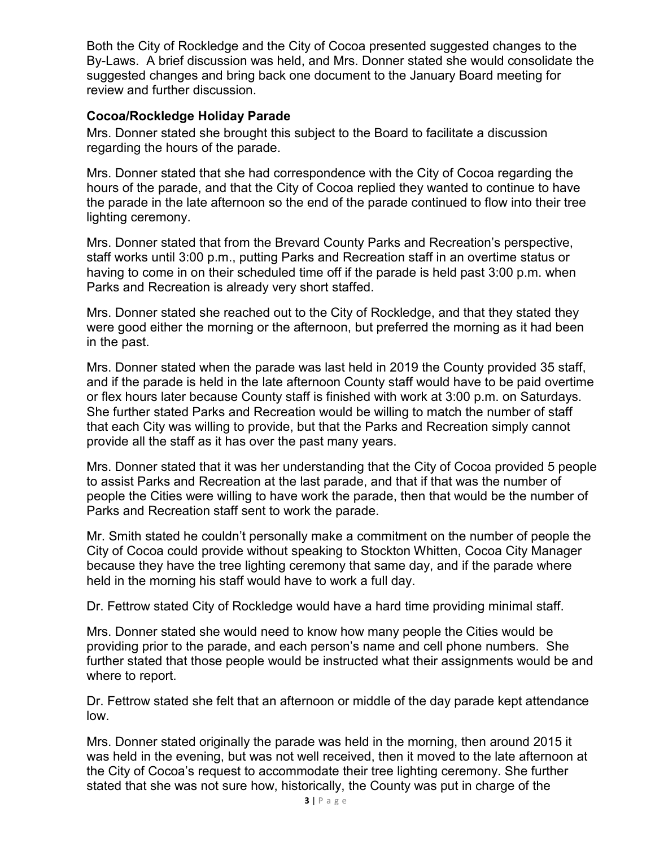Both the City of Rockledge and the City of Cocoa presented suggested changes to the By-Laws. A brief discussion was held, and Mrs. Donner stated she would consolidate the suggested changes and bring back one document to the January Board meeting for review and further discussion.

### **Cocoa/Rockledge Holiday Parade**

Mrs. Donner stated she brought this subject to the Board to facilitate a discussion regarding the hours of the parade.

Mrs. Donner stated that she had correspondence with the City of Cocoa regarding the hours of the parade, and that the City of Cocoa replied they wanted to continue to have the parade in the late afternoon so the end of the parade continued to flow into their tree lighting ceremony.

Mrs. Donner stated that from the Brevard County Parks and Recreation's perspective, staff works until 3:00 p.m., putting Parks and Recreation staff in an overtime status or having to come in on their scheduled time off if the parade is held past 3:00 p.m. when Parks and Recreation is already very short staffed.

Mrs. Donner stated she reached out to the City of Rockledge, and that they stated they were good either the morning or the afternoon, but preferred the morning as it had been in the past.

Mrs. Donner stated when the parade was last held in 2019 the County provided 35 staff, and if the parade is held in the late afternoon County staff would have to be paid overtime or flex hours later because County staff is finished with work at 3:00 p.m. on Saturdays. She further stated Parks and Recreation would be willing to match the number of staff that each City was willing to provide, but that the Parks and Recreation simply cannot provide all the staff as it has over the past many years.

Mrs. Donner stated that it was her understanding that the City of Cocoa provided 5 people to assist Parks and Recreation at the last parade, and that if that was the number of people the Cities were willing to have work the parade, then that would be the number of Parks and Recreation staff sent to work the parade.

Mr. Smith stated he couldn't personally make a commitment on the number of people the City of Cocoa could provide without speaking to Stockton Whitten, Cocoa City Manager because they have the tree lighting ceremony that same day, and if the parade where held in the morning his staff would have to work a full day.

Dr. Fettrow stated City of Rockledge would have a hard time providing minimal staff.

Mrs. Donner stated she would need to know how many people the Cities would be providing prior to the parade, and each person's name and cell phone numbers. She further stated that those people would be instructed what their assignments would be and where to report.

Dr. Fettrow stated she felt that an afternoon or middle of the day parade kept attendance low.

Mrs. Donner stated originally the parade was held in the morning, then around 2015 it was held in the evening, but was not well received, then it moved to the late afternoon at the City of Cocoa's request to accommodate their tree lighting ceremony. She further stated that she was not sure how, historically, the County was put in charge of the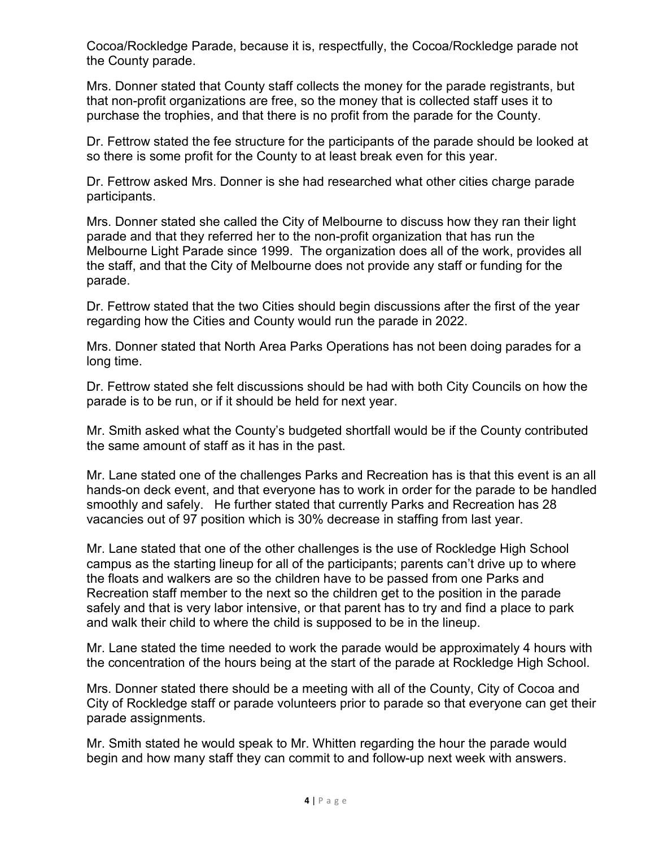Cocoa/Rockledge Parade, because it is, respectfully, the Cocoa/Rockledge parade not the County parade.

Mrs. Donner stated that County staff collects the money for the parade registrants, but that non-profit organizations are free, so the money that is collected staff uses it to purchase the trophies, and that there is no profit from the parade for the County.

Dr. Fettrow stated the fee structure for the participants of the parade should be looked at so there is some profit for the County to at least break even for this year.

Dr. Fettrow asked Mrs. Donner is she had researched what other cities charge parade participants.

Mrs. Donner stated she called the City of Melbourne to discuss how they ran their light parade and that they referred her to the non-profit organization that has run the Melbourne Light Parade since 1999. The organization does all of the work, provides all the staff, and that the City of Melbourne does not provide any staff or funding for the parade.

Dr. Fettrow stated that the two Cities should begin discussions after the first of the year regarding how the Cities and County would run the parade in 2022.

Mrs. Donner stated that North Area Parks Operations has not been doing parades for a long time.

Dr. Fettrow stated she felt discussions should be had with both City Councils on how the parade is to be run, or if it should be held for next year.

Mr. Smith asked what the County's budgeted shortfall would be if the County contributed the same amount of staff as it has in the past.

Mr. Lane stated one of the challenges Parks and Recreation has is that this event is an all hands-on deck event, and that everyone has to work in order for the parade to be handled smoothly and safely. He further stated that currently Parks and Recreation has 28 vacancies out of 97 position which is 30% decrease in staffing from last year.

Mr. Lane stated that one of the other challenges is the use of Rockledge High School campus as the starting lineup for all of the participants; parents can't drive up to where the floats and walkers are so the children have to be passed from one Parks and Recreation staff member to the next so the children get to the position in the parade safely and that is very labor intensive, or that parent has to try and find a place to park and walk their child to where the child is supposed to be in the lineup.

Mr. Lane stated the time needed to work the parade would be approximately 4 hours with the concentration of the hours being at the start of the parade at Rockledge High School.

Mrs. Donner stated there should be a meeting with all of the County, City of Cocoa and City of Rockledge staff or parade volunteers prior to parade so that everyone can get their parade assignments.

Mr. Smith stated he would speak to Mr. Whitten regarding the hour the parade would begin and how many staff they can commit to and follow-up next week with answers.